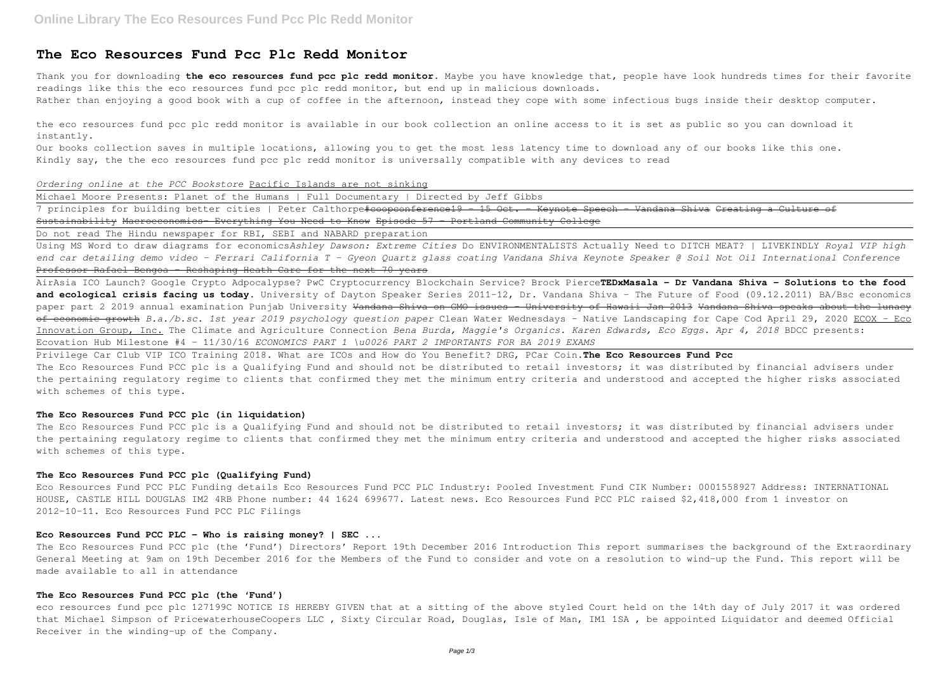## **The Eco Resources Fund Pcc Plc Redd Monitor**

Thank you for downloading **the eco resources fund pcc plc redd monitor**. Maybe you have knowledge that, people have look hundreds times for their favorite readings like this the eco resources fund pcc plc redd monitor, but end up in malicious downloads.

Rather than enjoying a good book with a cup of coffee in the afternoon, instead they cope with some infectious bugs inside their desktop computer.

the eco resources fund pcc plc redd monitor is available in our book collection an online access to it is set as public so you can download it instantly.

7 principles for building better cities | Peter Calthorpe#coopconference19 - 15 Oct. - Keynote Speech - Vandana Shiva Creating a Culture of Sustainability Macroeconomics- Everything You Need to Know Episode 57 - Portland Community College

Our books collection saves in multiple locations, allowing you to get the most less latency time to download any of our books like this one. Kindly say, the the eco resources fund pcc plc redd monitor is universally compatible with any devices to read

*Ordering online at the PCC Bookstore* Pacific Islands are not sinking

Michael Moore Presents: Planet of the Humans | Full Documentary | Directed by Jeff Gibbs

Do not read The Hindu newspaper for RBI, SEBI and NABARD preparation

Using MS Word to draw diagrams for economics*Ashley Dawson: Extreme Cities* Do ENVIRONMENTALISTS Actually Need to DITCH MEAT? | LIVEKINDLY *Royal VIP high end car detailing demo video - Ferrari California T - Gyeon Quartz glass coating Vandana Shiva Keynote Speaker @ Soil Not Oil International Conference* Professor Rafael Bengoa - Reshaping Heath Care for the next 70 years

The Eco Resources Fund PCC plc is a Qualifying Fund and should not be distributed to retail investors; it was distributed by financial advisers under the pertaining regulatory regime to clients that confirmed they met the minimum entry criteria and understood and accepted the higher risks associated with schemes of this type.

AirAsia ICO Launch? Google Crypto Adpocalypse? PwC Cryptocurrency Blockchain Service? Brock Pierce**TEDxMasala - Dr Vandana Shiva - Solutions to the food and ecological crisis facing us today.** University of Dayton Speaker Series 2011-12, Dr. Vandana Shiva - The Future of Food (09.12.2011) BA/Bsc economics paper part 2 2019 annual examination Punjab University <del>Vandana Shiva on GMO issues - University of Hawaii Jan 2013 Vandana Shiva speaks about the lunacy</del> of economic growth *B.a./b.sc. 1st year 2019 psychology question paper* Clean Water Wednesdays - Native Landscaping for Cape Cod April 29, 2020 ECOX - Eco Innovation Group, Inc. The Climate and Agriculture Connection *Bena Burda, Maggie's Organics. Karen Edwards, Eco Eggs. Apr 4, 2018* BDCC presents: Ecovation Hub Milestone #4 - 11/30/16 *ECONOMICS PART 1 \u0026 PART 2 IMPORTANTS FOR BA 2019 EXAMS*

Privilege Car Club VIP ICO Training 2018. What are ICOs and How do You Benefit? DRG, PCar Coin.**The Eco Resources Fund Pcc** The Eco Resources Fund PCC plc is a Qualifying Fund and should not be distributed to retail investors; it was distributed by financial advisers under the pertaining regulatory regime to clients that confirmed they met the minimum entry criteria and understood and accepted the higher risks associated with schemes of this type.

#### **The Eco Resources Fund PCC plc (in liquidation)**

#### **The Eco Resources Fund PCC plc (Qualifying Fund)**

Eco Resources Fund PCC PLC Funding details Eco Resources Fund PCC PLC Industry: Pooled Investment Fund CIK Number: 0001558927 Address: INTERNATIONAL HOUSE, CASTLE HILL DOUGLAS IM2 4RB Phone number: 44 1624 699677. Latest news. Eco Resources Fund PCC PLC raised \$2,418,000 from 1 investor on 2012-10-11. Eco Resources Fund PCC PLC Filings

#### **Eco Resources Fund PCC PLC - Who is raising money? | SEC ...**

The Eco Resources Fund PCC plc (the 'Fund') Directors' Report 19th December 2016 Introduction This report summarises the background of the Extraordinary General Meeting at 9am on 19th December 2016 for the Members of the Fund to consider and vote on a resolution to wind-up the Fund. This report will be made available to all in attendance

#### **The Eco Resources Fund PCC plc (the 'Fund')**

eco resources fund pcc plc 127199C NOTICE IS HEREBY GIVEN that at a sitting of the above styled Court held on the 14th day of July 2017 it was ordered that Michael Simpson of PricewaterhouseCoopers LLC , Sixty Circular Road, Douglas, Isle of Man, IM1 1SA , be appointed Liquidator and deemed Official Receiver in the winding-up of the Company.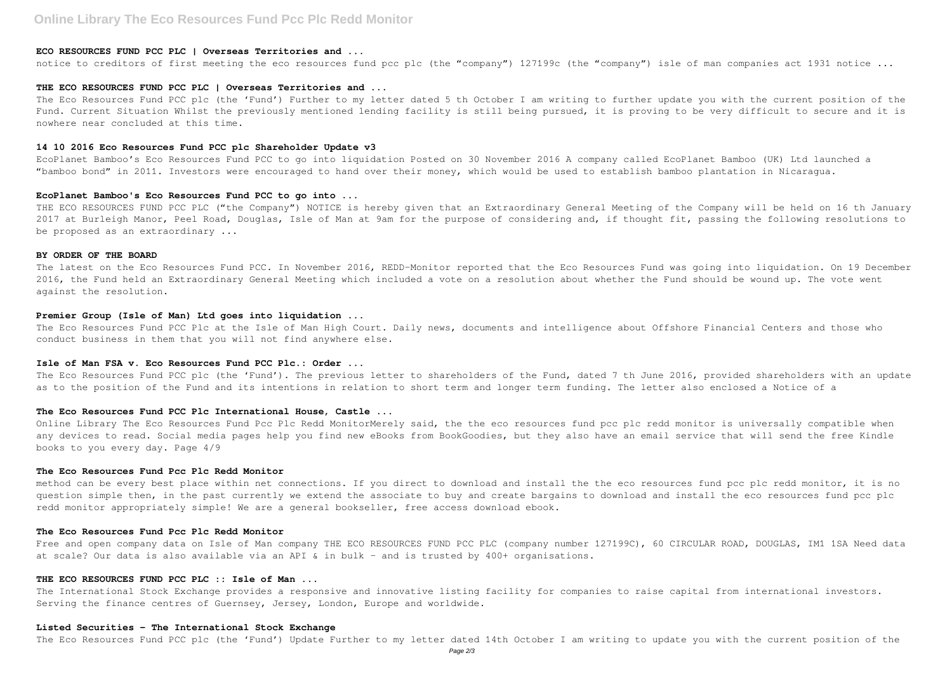# **Online Library The Eco Resources Fund Pcc Plc Redd Monitor**

### **ECO RESOURCES FUND PCC PLC | Overseas Territories and ...**

notice to creditors of first meeting the eco resources fund pcc plc (the "company") 127199c (the "company") isle of man companies act 1931 notice ...

#### **THE ECO RESOURCES FUND PCC PLC | Overseas Territories and ...**

The Eco Resources Fund PCC plc (the 'Fund') Further to my letter dated 5 th October I am writing to further update you with the current position of the Fund. Current Situation Whilst the previously mentioned lending facility is still being pursued, it is proving to be very difficult to secure and it is nowhere near concluded at this time.

#### **14 10 2016 Eco Resources Fund PCC plc Shareholder Update v3**

EcoPlanet Bamboo's Eco Resources Fund PCC to go into liquidation Posted on 30 November 2016 A company called EcoPlanet Bamboo (UK) Ltd launched a "bamboo bond" in 2011. Investors were encouraged to hand over their money, which would be used to establish bamboo plantation in Nicaragua.

The Eco Resources Fund PCC Plc at the Isle of Man High Court. Daily news, documents and intelligence about Offshore Financial Centers and those who conduct business in them that you will not find anywhere else.

#### **EcoPlanet Bamboo's Eco Resources Fund PCC to go into ...**

THE ECO RESOURCES FUND PCC PLC ("the Company") NOTICE is hereby given that an Extraordinary General Meeting of the Company will be held on 16 th January 2017 at Burleigh Manor, Peel Road, Douglas, Isle of Man at 9am for the purpose of considering and, if thought fit, passing the following resolutions to be proposed as an extraordinary ...

Online Library The Eco Resources Fund Pcc Plc Redd MonitorMerely said, the the eco resources fund pcc plc redd monitor is universally compatible when any devices to read. Social media pages help you find new eBooks from BookGoodies, but they also have an email service that will send the free Kindle books to you every day. Page 4/9

#### **BY ORDER OF THE BOARD**

The latest on the Eco Resources Fund PCC. In November 2016, REDD-Monitor reported that the Eco Resources Fund was going into liquidation. On 19 December 2016, the Fund held an Extraordinary General Meeting which included a vote on a resolution about whether the Fund should be wound up. The vote went against the resolution.

method can be every best place within net connections. If you direct to download and install the the eco resources fund pcc plc redd monitor, it is no question simple then, in the past currently we extend the associate to buy and create bargains to download and install the eco resources fund pcc plc redd monitor appropriately simple! We are a general bookseller, free access download ebook.

Free and open company data on Isle of Man company THE ECO RESOURCES FUND PCC PLC (company number 127199C), 60 CIRCULAR ROAD, DOUGLAS, IM1 1SA Need data at scale? Our data is also available via an API & in bulk – and is trusted by 400+ organisations.

The International Stock Exchange provides a responsive and innovative listing facility for companies to raise capital from international investors. Serving the finance centres of Guernsey, Jersey, London, Europe and worldwide.

#### **Premier Group (Isle of Man) Ltd goes into liquidation ...**

#### **Isle of Man FSA v. Eco Resources Fund PCC Plc.: Order ...**

The Eco Resources Fund PCC plc (the 'Fund'). The previous letter to shareholders of the Fund, dated 7 th June 2016, provided shareholders with an update as to the position of the Fund and its intentions in relation to short term and longer term funding. The letter also enclosed a Notice of a

#### **The Eco Resources Fund PCC Plc International House, Castle ...**

#### **The Eco Resources Fund Pcc Plc Redd Monitor**

#### **The Eco Resources Fund Pcc Plc Redd Monitor**

#### **THE ECO RESOURCES FUND PCC PLC :: Isle of Man ...**

#### **Listed Securities - The International Stock Exchange**

The Eco Resources Fund PCC plc (the 'Fund') Update Further to my letter dated 14th October I am writing to update you with the current position of the